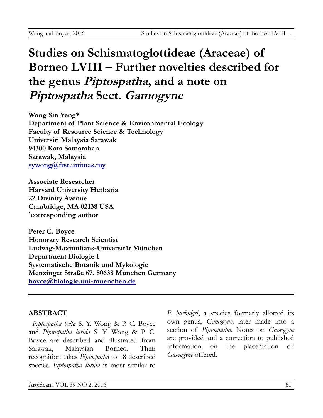# **Studies on Schismatoglottideae (Araceae) of Borneo LVIII – Further novelties described for the genus Piptospatha, and a note on Piptospatha Sect. Gamogyne**

**Wong Sin Yeng\* Department of Plant Science & Environmental Ecology Faculty of Resource Science & Technology Universiti Malaysia Sarawak 94300 Kota Samarahan Sarawak, Malaysia [sywong@frst.unimas.my](mailto:sywong@frst.unimas.my)**

**Associate Researcher Harvard University Herbaria 22 Divinity Avenue Cambridge, MA 02138 USA \* corresponding author**

**Peter C. Boyce Honorary Research Scientist Ludwig-Maximilians-Universität München Department Biologie I Systematische Botanik und Mykologie Menzinger Straße 67, 80638 München Germany [boyce@biologie.uni-muenchen.de](mailto:boyce@biologie.uni-muenchen.de)**

# **ABSTRACT**

*Piptospatha bella* S. Y. Wong & P. C. Boyce and *Piptospatha lurida* S. Y. Wong & P. C. Boyce are described and illustrated from Sarawak, Malaysian Borneo. Their recognition takes *Piptospatha* to 18 described species. *Piptospatha lurida* is most similar to

*P. burbidgei*, a species formerly allotted its own genus, *Gamogyne*, later made into a section of *Piptospatha*. Notes on *Gamogyne* are provided and a correction to published information on the placentation of *Gamogyne* offered.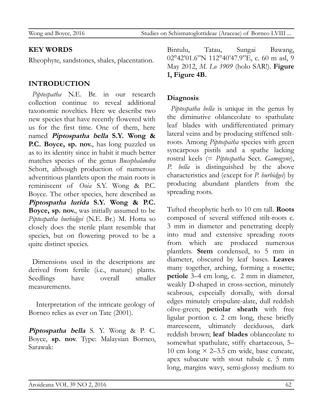Wong and Boyce, 2016 Studies on Schismatoglottideae (Araceae) of Borneo LVIII ...

#### **KEY WORDS**

Rheophyte, sandstones, shales, placentation.

### **INTRODUCTION**

*Piptospatha* N.E. Br. in our research collection continue to reveal additional taxonomic novelties. Here we describe two new species that have recently flowered with us for the first time. One of them, here named **Piptospatha bella S.Y. Wong & P.C. Boyce, sp. nov.**, has long puzzled us as to its identity since in habit it much better matches species of the genus *Bucephalandra* Schott, although production of numerous adventitious plantlets upon the main roots is reminiscent of *Ooia* S.Y. Wong & P.C. Boyce. The other species, here described as **Piptospatha lurida S.Y. Wong & P.C. Boyce, sp. nov.**, was initially assumed to be *Piptospatha burbidgei* (N.E. Br.) M. Hotta so closely does the sterile plant resemble that species, but on flowering proved to be a quite distinct species.

Dimensions used in the descriptions are derived from fertile (i.e., mature) plants. Seedlings have overall smaller measurements.

Interpretation of the intricate geology of Borneo relies as ever on Tate (2001).

**Piptospatha bella** S. Y. Wong & P. C. Boyce, **sp. nov**. Type: Malaysian Borneo, Sarawak:

Bintulu, Tatau, Sungai Bawang, 02°42'01.6"N 112°40'47.9"E, c. 60 m asl, 9 May 2012, *M. Lo 3909* (holo SAR!). **Figure 1, Figure 4B.**

#### **Diagnosis**

*Piptospatha bella* is unique in the genus by the diminutive oblanceolate to spathulate leaf blades with undifferentiated primary lateral veins and by producing stiffened stiltroots. Among *Piptospatha* species with green syncarpous pistils and a spathe lacking rostral keels (= *Piptospatha* Sect. *Gamogyne*), *P. bella* is distinguished by the above characteristics and (except for *P. burbidgei*) by producing abundant plantlets from the spreading roots.

Tufted rheophytic herb to 10 cm tall. **Roots** composed of several stiffened stilt-roots c. 3 mm in diameter and penetrating deeply into mud and extensive spreading roots from which are produced numerous plantlets. **Stem** condensed, to 5 mm in diameter, obscured by leaf bases. **Leaves** many together, arching, forming a rosette; **petiole** 3–4 cm long, c. 2 mm in diameter, weakly D-shaped in cross-section, minutely scabrous, especially dorsally, with dorsal edges minutely crispulate-alate, dull reddish olive-green; **petiolar sheath** with free ligular portion c. 2 cm long, these briefly marcescent, ultimately deciduous, dark reddish brown; **leaf blades** oblanceolate to somewhat spathulate, stiffy chartaceous, 5– 10 cm long  $\times$  2–3.5 cm wide, base cuneate, apex subacute with stout tubule c. 5 mm long, margins wavy, semi-glossy medium to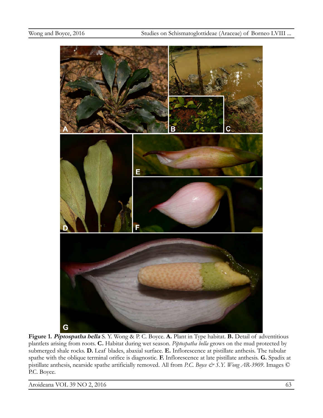

**Figure 1. Piptospatha bella** S. Y. Wong & P. C. Boyce. **A.** Plant in Type habitat. **B.** Detail of adventitious plantlets arising from roots. **C.** Habitat during wet season. *Piptospatha bella* grows on the mud protected by submerged shale rocks. **D.** Leaf blades, abaxial surface. **E.** Inflorescence at pistillate anthesis. The tubular spathe with the oblique terminal orifice is diagnostic. **F.** Inflorescence at late pistillate anthesis. **G.** Spadix at pistillate anthesis, nearside spathe artificially removed. All from *P.C. Boyce & S.Y. Wong AR-3909*. Images © P.C. Boyce.

Aroideana VOL 39 NO 2, 2016 63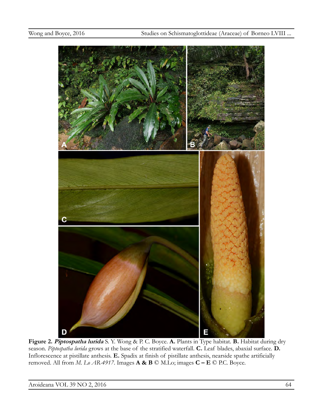

**Figure 2. Piptospatha lurida** S. Y. Wong & P. C. Boyce. **A.** Plants in Type habitat. **B.** Habitat during dry season. *Piptospatha lurida* grows at the base of the stratified waterfall. **C.** Leaf blades, abaxial surface. **D.** Inflorescence at pistillate anthesis. **E.** Spadix at finish of pistillate anthesis, nearside spathe artificially removed. All from *M. Lo AR-4917*. Images **A & B** © M.Lo; images **C – E** © P.C. Boyce.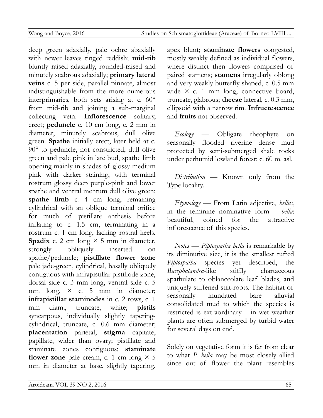deep green adaxially, pale ochre abaxially with newer leaves tinged reddish; **mid-rib** bluntly raised adaxially, rounded-raised and minutely scabrous adaxially; **primary lateral veins** c. 5 per side, parallel pinnate, almost indistinguishable from the more numerous interprimaries, both sets arising at c. 60° from mid-rib and joining a sub-marginal collecting vein. **Inflorescence** solitary, erect; **peduncle** c. 10 cm long, c. 2 mm in diameter, minutely scabrous, dull olive green. **Spathe** initially erect, later held at c. 90° to peduncle, not constricted, dull olive green and pale pink in late bud, spathe limb opening mainly in shades of glossy medium pink with darker staining, with terminal rostrum glossy deep purple-pink and lower spathe and ventral mentum dull olive green; **spathe limb** c. 4 cm long, remaining cylindrical with an oblique terminal orifice for much of pistillate anthesis before inflating to c. 1.5 cm, terminating in a rostrum c. 1 cm long, lacking rostral keels. **Spadix** c. 2 cm long  $\times$  5 mm in diameter, strongly obliquely inserted on spathe/peduncle; **pistillate flower zone** pale jade-green, cylindrical, basally obliquely contiguous with infrapistillar pistillode zone, dorsal side c. 3 mm long, ventral side c. 5 mm long,  $\times$  c. 5 mm in diameter; **infrapistillar staminodes** in c. 2 rows, c. 1 mm diam., truncate, white; **pistils** syncarpous, individually slightly taperingcylindrical, truncate, c. 0.6 mm diameter; **placentation** parietal; **stigma** capitate, papillate, wider than ovary; pistillate and staminate zones contiguous; **staminate flower zone** pale cream, c. 1 cm long  $\times$  5 mm in diameter at base, slightly tapering, apex blunt; **staminate flowers** congested, mostly weakly defined as individual flowers, where distinct then flowers comprised of paired stamens; **stamens** irregularly oblong and very weakly butterfly shaped, c. 0.5 mm wide  $\times$  c. 1 mm long, connective board, truncate, glabrous; **thecae** lateral, c. 0.3 mm, ellipsoid with a narrow rim. **Infructescence** and **fruits** not observed.

*Ecology* — Obligate rheophyte on seasonally flooded riverine dense mud protected by semi-submerged shale rocks under perhumid lowland forest; c. 60 m. asl.

*Distribution* — Known only from the Type locality.

*Etymology* — From Latin adjective, *bellus*, in the feminine nominative form – *bella*: beautiful, coined for the attractive inflorescence of this species.

*Notes* — *Piptospatha bella* is remarkable by its diminutive size, it is the smallest tufted *Piptospatha* species yet described, the *Bucephalandra*-like stiffly chartaceous spathulate to oblanceolate leaf blades, and uniquely stiffened stilt-roots. The habitat of seasonally inundated bare alluvial consolidated mud to which the species is restricted is extraordinary – in wet weather plants are often submerged by turbid water for several days on end.

Solely on vegetative form it is far from clear to what *P. bella* may be most closely allied since out of flower the plant resembles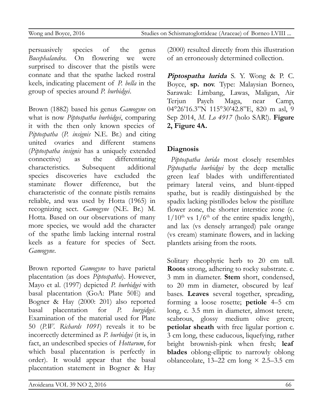persuasively species of the genus *Bucephalandra*. On flowering we were surprised to discover that the pistils were connate and that the spathe lacked rostral keels, indicating placement of *P. bella* in the group of species around *P. burbidgei*.

Brown (1882) based his genus *Gamogyne* on what is now *Piptospatha burbidgei*, comparing it with the then only known species of *Piptospatha* (*P. insignis* N.E. Br.) and citing united ovaries and different stamens (*Piptospatha insignis* has a uniquely extended connective) as the differentiating characteristics. Subsequent additional species discoveries have excluded the staminate flower difference, but the characteristic of the connate pistils remains reliable, and was used by Hotta (1965) in recognizing sect. *Gamogyne* (N.E. Br.) M. Hotta. Based on our observations of many more species, we would add the character of the spathe limb lacking internal rostral keels as a feature for species of Sect. *Gamogyne*.

Brown reported *Gamogyne* to have parietal placentation (as does *Piptospatha*). However, Mayo et al. (1997) depicted *P. burbidgei* with basal placentation (GoA: Plate 50E) and Bogner & Hay (2000: 201) also reported basal placentation for *P. burgidgei*. Examination of the material used for Plate 50 (*P.W. Richards 1091*) reveals it to be incorrectly determined as *P. burbidgei* (it is, in fact, an undescribed species of *Hottarum*, for which basal placentation is perfectly in order). It would appear that the basal placentation statement in Bogner & Hay

(2000) resulted directly from this illustration of an erroneously determined collection.

**Piptospatha lurida** S. Y. Wong & P. C. Boyce, **sp. nov**. Type: Malaysian Borneo, Sarawak: Limbang, Lawas, Maligan, Air Terjun Payeh Maga, near Camp, 04°26'16.3"N 115°30'42.8"E, 820 m asl, 9 Sep 2014, *M. Lo 4917* (holo SAR!). **Figure 2, Figure 4A.**

## **Diagnosis**

*Piptospatha lurida* most closely resembles *Piptospatha burbidgei* by the deep metallic green leaf blades with undifferentiated primary lateral veins, and blunt-tipped spathe, but is readily distinguished by the spadix lacking pistillodes below the pistillate flower zone, the shorter interstice zone (c.  $1/10^{th}$  vs  $1/6^{th}$  of the entire spadix length), and lax (vs densely arranged) pale orange (vs cream) staminate flowers, and in lacking plantlets arising from the roots.

Solitary rheophytic herb to 20 cm tall. **Roots** strong, adhering to rocky substrate. c. 3 mm in diameter. **Stem** short, condensed, to 20 mm in diameter, obscured by leaf bases. **Leaves** several together, spreading, forming a loose rosette; **petiole** 4–5 cm long, c. 3.5 mm in diameter, almost terete, scabrous, glossy medium olive green; **petiolar sheath** with free ligular portion c. 3 cm long, these caducous, liquefying, rather bright brownish-pink when fresh; **leaf blades** oblong-elliptic to narrowly oblong oblanceolate, 13–22 cm long  $\times$  2.5–3.5 cm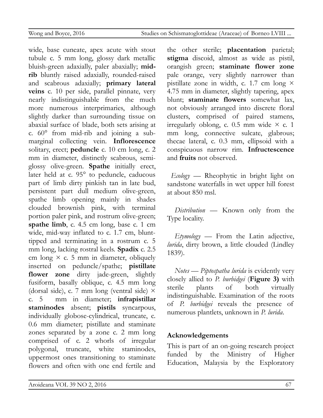wide, base cuneate, apex acute with stout tubule c. 5 mm long, glossy dark metallic bluish-green adaxially, paler abaxially; **midrib** bluntly raised adaxially, rounded-raised and scabrous adaxially; **primary lateral veins** c. 10 per side, parallel pinnate, very nearly indistinguishable from the much more numerous interprimaries, although slightly darker than surrounding tissue on abaxial surface of blade, both sets arising at c. 60° from mid-rib and joining a submarginal collecting vein. **Inflorescence** solitary, erect; **peduncle** c. 10 cm long, c. 2 mm in diameter, distinctly scabrous, semiglossy olive-green. **Spathe** initially erect, later held at c. 95° to peduncle, caducous part of limb dirty pinkish tan in late bud, persistent part dull medium olive-green, spathe limb opening mainly in shades clouded brownish pink, with terminal portion paler pink, and rostrum olive-green; **spathe limb**, c. 4.5 cm long, base c. 1 cm wide, mid-way inflated to c. 1.7 cm, blunttipped and terminating in a rostrum c. 5 mm long, lacking rostral keels. **Spadix** c. 2.5 cm long  $\times$  c. 5 mm in diameter, obliquely inserted on peduncle/spathe; **pistillate flower zone** dirty jade-green, slightly fusiform, basally oblique, c. 4.5 mm long (dorsal side), c. 7 mm long (ventral side)  $\times$ c. 5 mm in diameter; **infrapistillar staminodes** absent; **pistils** syncarpous, individually globose-cylindrical, truncate, c. 0.6 mm diameter; pistillate and staminate zones separated by a zone c. 2 mm long comprised of c. 2 whorls of irregular polygonal, truncate, white staminodes, uppermost ones transitioning to staminate flowers and often with one end fertile and

the other sterile; **placentation** parietal; **stigma** discoid, almost as wide as pistil, orangish green; **staminate flower zone** pale orange, very slightly narrower than pistillate zone in width, c. 1.7 cm long  $\times$ 4.75 mm in diameter, slightly tapering, apex blunt; **staminate flowers** somewhat lax, not obviously arranged into discrete floral clusters, comprised of paired stamens, irregularly oblong, c. 0.5 mm wide  $\times$  c. 1 mm long, connective sulcate, glabrous; thecae lateral, c. 0.3 mm, ellipsoid with a conspicuous narrow rim. **Infructescence** and **fruits** not observed.

*Ecology* — Rheophytic in bright light on sandstone waterfalls in wet upper hill forest at about 850 msl.

*Distribution* — Known only from the Type locality.

*Etymology* — From the Latin adjective, *lurida*, dirty brown, a little clouded (Lindley 1839).

*Notes* — *Piptospatha lurida* is evidently very closely allied to *P. burbidgei* (**Figure 3)** with sterile plants of both virtually indistinguishable. Examination of the roots of *P. burbidgei* reveals the presence of numerous plantlets, unknown in *P. lurida*.

# **Acknowledgements**

This is part of an on-going research project funded by the Ministry of Higher Education, Malaysia by the Exploratory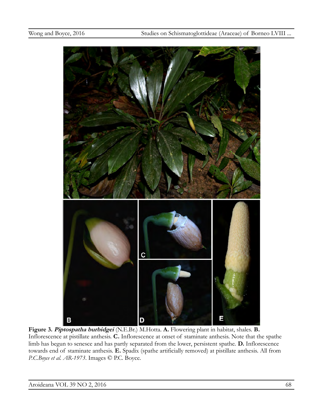

**Figure 3. Piptospatha burbidgei** (N.E.Br.) M.Hotta. **A.** Flowering plant in habitat, shales. **B.** Inflorescence at pistillate anthesis. **C.** Inflorescence at onset of staminate anthesis. Note that the spathe limb has begun to senesce and has partly separated from the lower, persistent spathe. **D.** Inflorescence towards end of staminate anthesis. **E.** Spadix (spathe artificially removed) at pistillate anthesis. All from *P.C.Boyce et al. AR-1973*. Images © P.C. Boyce.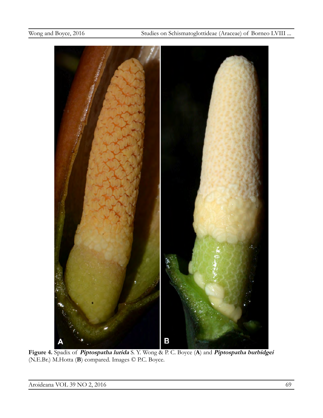

**Figure 4.** Spadix of **Piptospatha lurida** S. Y. Wong & P. C. Boyce (**A**) and **Piptospatha burbidgei** (N.E.Br.) M.Hotta (**B**) compared. Images © P.C. Boyce.